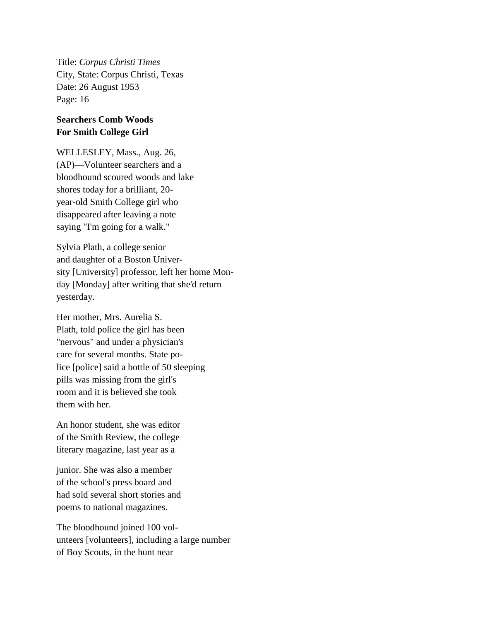Title: *Corpus Christi Times* City, State: Corpus Christi, Texas Date: 26 August 1953 Page: 16

## **Searchers Comb Woods For Smith College Girl**

WELLESLEY, Mass., Aug. 26, (AP)—Volunteer searchers and a bloodhound scoured woods and lake shores today for a brilliant, 20 year-old Smith College girl who disappeared after leaving a note saying "I'm going for a walk."

Sylvia Plath, a college senior and daughter of a Boston University [University] professor, left her home Monday [Monday] after writing that she'd return yesterday.

Her mother, Mrs. Aurelia S. Plath, told police the girl has been "nervous" and under a physician's care for several months. State police [police] said a bottle of 50 sleeping pills was missing from the girl's room and it is believed she took them with her.

An honor student, she was editor of the Smith Review, the college literary magazine, last year as a

junior. She was also a member of the school's press board and had sold several short stories and poems to national magazines.

The bloodhound joined 100 volunteers [volunteers], including a large number of Boy Scouts, in the hunt near